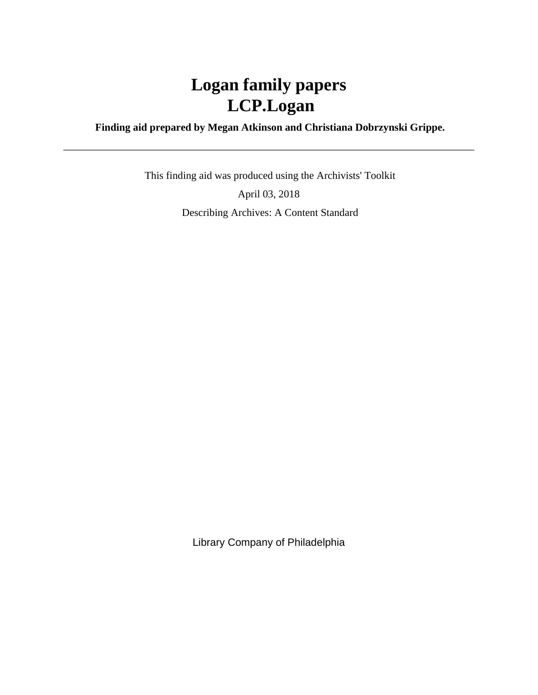# **Logan family papers LCP.Logan**

 **Finding aid prepared by Megan Atkinson and Christiana Dobrzynski Grippe.**

 This finding aid was produced using the Archivists' Toolkit April 03, 2018 Describing Archives: A Content Standard

Library Company of Philadelphia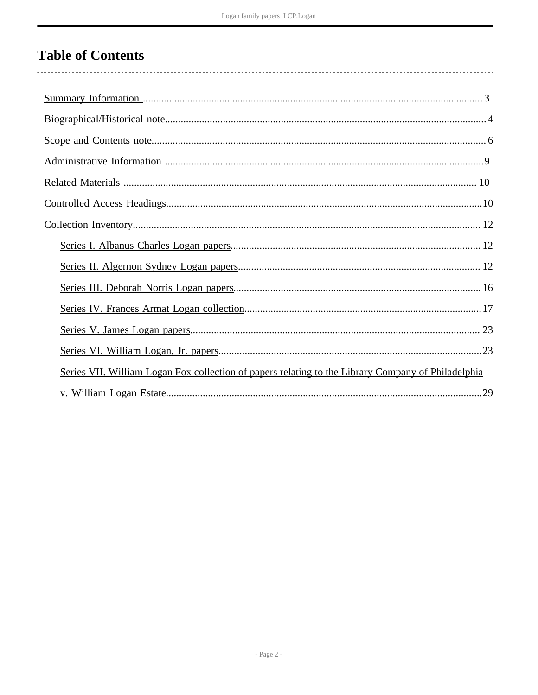# **Table of Contents**

| Series VII. William Logan Fox collection of papers relating to the Library Company of Philadelphia |  |
|----------------------------------------------------------------------------------------------------|--|
|                                                                                                    |  |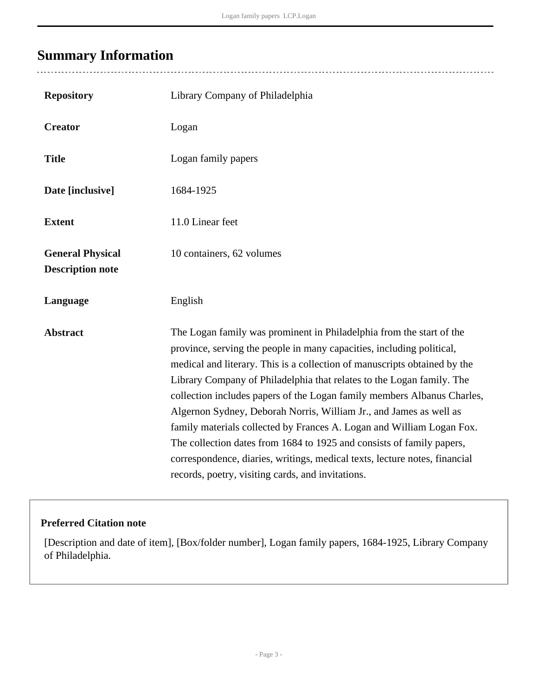# <span id="page-2-0"></span>**Summary Information**

 $\overline{a}$ 

| <b>Repository</b>                                  | Library Company of Philadelphia                                                                                                                                                                                                                                                                                                                                                                                                                                                                                                                                                                                                                                                                                                           |
|----------------------------------------------------|-------------------------------------------------------------------------------------------------------------------------------------------------------------------------------------------------------------------------------------------------------------------------------------------------------------------------------------------------------------------------------------------------------------------------------------------------------------------------------------------------------------------------------------------------------------------------------------------------------------------------------------------------------------------------------------------------------------------------------------------|
| <b>Creator</b>                                     | Logan                                                                                                                                                                                                                                                                                                                                                                                                                                                                                                                                                                                                                                                                                                                                     |
| <b>Title</b>                                       | Logan family papers                                                                                                                                                                                                                                                                                                                                                                                                                                                                                                                                                                                                                                                                                                                       |
| Date [inclusive]                                   | 1684-1925                                                                                                                                                                                                                                                                                                                                                                                                                                                                                                                                                                                                                                                                                                                                 |
| <b>Extent</b>                                      | 11.0 Linear feet                                                                                                                                                                                                                                                                                                                                                                                                                                                                                                                                                                                                                                                                                                                          |
| <b>General Physical</b><br><b>Description note</b> | 10 containers, 62 volumes                                                                                                                                                                                                                                                                                                                                                                                                                                                                                                                                                                                                                                                                                                                 |
| Language                                           | English                                                                                                                                                                                                                                                                                                                                                                                                                                                                                                                                                                                                                                                                                                                                   |
| <b>Abstract</b>                                    | The Logan family was prominent in Philadelphia from the start of the<br>province, serving the people in many capacities, including political,<br>medical and literary. This is a collection of manuscripts obtained by the<br>Library Company of Philadelphia that relates to the Logan family. The<br>collection includes papers of the Logan family members Albanus Charles,<br>Algernon Sydney, Deborah Norris, William Jr., and James as well as<br>family materials collected by Frances A. Logan and William Logan Fox.<br>The collection dates from 1684 to 1925 and consists of family papers,<br>correspondence, diaries, writings, medical texts, lecture notes, financial<br>records, poetry, visiting cards, and invitations. |

## **Preferred Citation note**

[Description and date of item], [Box/folder number], Logan family papers, 1684-1925, Library Company of Philadelphia.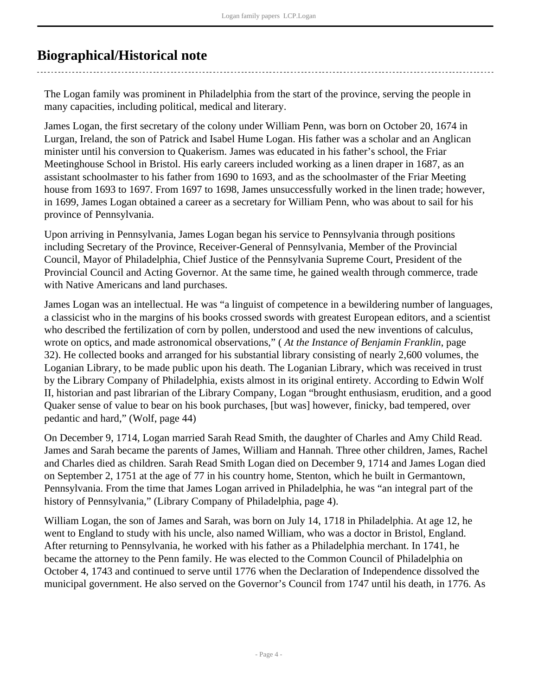# <span id="page-3-0"></span>**Biographical/Historical note**

The Logan family was prominent in Philadelphia from the start of the province, serving the people in many capacities, including political, medical and literary.

James Logan, the first secretary of the colony under William Penn, was born on October 20, 1674 in Lurgan, Ireland, the son of Patrick and Isabel Hume Logan. His father was a scholar and an Anglican minister until his conversion to Quakerism. James was educated in his father's school, the Friar Meetinghouse School in Bristol. His early careers included working as a linen draper in 1687, as an assistant schoolmaster to his father from 1690 to 1693, and as the schoolmaster of the Friar Meeting house from 1693 to 1697. From 1697 to 1698, James unsuccessfully worked in the linen trade; however, in 1699, James Logan obtained a career as a secretary for William Penn, who was about to sail for his province of Pennsylvania.

Upon arriving in Pennsylvania, James Logan began his service to Pennsylvania through positions including Secretary of the Province, Receiver-General of Pennsylvania, Member of the Provincial Council, Mayor of Philadelphia, Chief Justice of the Pennsylvania Supreme Court, President of the Provincial Council and Acting Governor. At the same time, he gained wealth through commerce, trade with Native Americans and land purchases.

James Logan was an intellectual. He was "a linguist of competence in a bewildering number of languages, a classicist who in the margins of his books crossed swords with greatest European editors, and a scientist who described the fertilization of corn by pollen, understood and used the new inventions of calculus, wrote on optics, and made astronomical observations," ( *At the Instance of Benjamin Franklin*, page 32). He collected books and arranged for his substantial library consisting of nearly 2,600 volumes, the Loganian Library, to be made public upon his death. The Loganian Library, which was received in trust by the Library Company of Philadelphia, exists almost in its original entirety. According to Edwin Wolf II, historian and past librarian of the Library Company, Logan "brought enthusiasm, erudition, and a good Quaker sense of value to bear on his book purchases, [but was] however, finicky, bad tempered, over pedantic and hard," (Wolf, page 44)

On December 9, 1714, Logan married Sarah Read Smith, the daughter of Charles and Amy Child Read. James and Sarah became the parents of James, William and Hannah. Three other children, James, Rachel and Charles died as children. Sarah Read Smith Logan died on December 9, 1714 and James Logan died on September 2, 1751 at the age of 77 in his country home, Stenton, which he built in Germantown, Pennsylvania. From the time that James Logan arrived in Philadelphia, he was "an integral part of the history of Pennsylvania," (Library Company of Philadelphia, page 4).

William Logan, the son of James and Sarah, was born on July 14, 1718 in Philadelphia. At age 12, he went to England to study with his uncle, also named William, who was a doctor in Bristol, England. After returning to Pennsylvania, he worked with his father as a Philadelphia merchant. In 1741, he became the attorney to the Penn family. He was elected to the Common Council of Philadelphia on October 4, 1743 and continued to serve until 1776 when the Declaration of Independence dissolved the municipal government. He also served on the Governor's Council from 1747 until his death, in 1776. As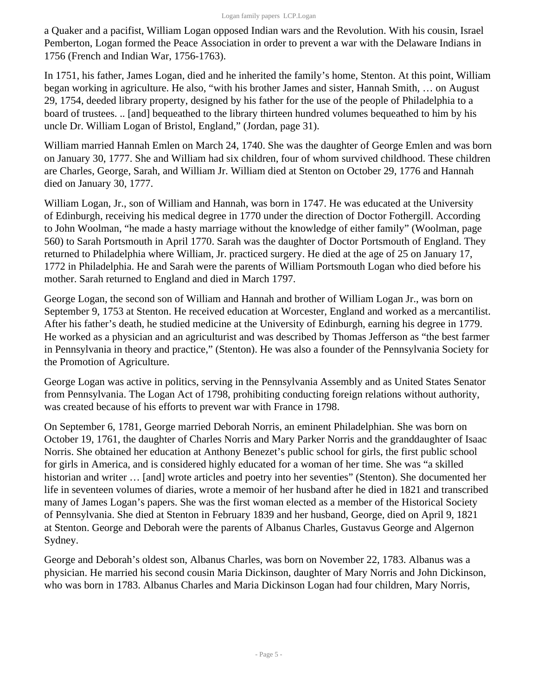a Quaker and a pacifist, William Logan opposed Indian wars and the Revolution. With his cousin, Israel Pemberton, Logan formed the Peace Association in order to prevent a war with the Delaware Indians in 1756 (French and Indian War, 1756-1763).

In 1751, his father, James Logan, died and he inherited the family's home, Stenton. At this point, William began working in agriculture. He also, "with his brother James and sister, Hannah Smith, … on August 29, 1754, deeded library property, designed by his father for the use of the people of Philadelphia to a board of trustees. .. [and] bequeathed to the library thirteen hundred volumes bequeathed to him by his uncle Dr. William Logan of Bristol, England," (Jordan, page 31).

William married Hannah Emlen on March 24, 1740. She was the daughter of George Emlen and was born on January 30, 1777. She and William had six children, four of whom survived childhood. These children are Charles, George, Sarah, and William Jr. William died at Stenton on October 29, 1776 and Hannah died on January 30, 1777.

William Logan, Jr., son of William and Hannah, was born in 1747. He was educated at the University of Edinburgh, receiving his medical degree in 1770 under the direction of Doctor Fothergill. According to John Woolman, "he made a hasty marriage without the knowledge of either family" (Woolman, page 560) to Sarah Portsmouth in April 1770. Sarah was the daughter of Doctor Portsmouth of England. They returned to Philadelphia where William, Jr. practiced surgery. He died at the age of 25 on January 17, 1772 in Philadelphia. He and Sarah were the parents of William Portsmouth Logan who died before his mother. Sarah returned to England and died in March 1797.

George Logan, the second son of William and Hannah and brother of William Logan Jr., was born on September 9, 1753 at Stenton. He received education at Worcester, England and worked as a mercantilist. After his father's death, he studied medicine at the University of Edinburgh, earning his degree in 1779. He worked as a physician and an agriculturist and was described by Thomas Jefferson as "the best farmer in Pennsylvania in theory and practice," (Stenton). He was also a founder of the Pennsylvania Society for the Promotion of Agriculture.

George Logan was active in politics, serving in the Pennsylvania Assembly and as United States Senator from Pennsylvania. The Logan Act of 1798, prohibiting conducting foreign relations without authority, was created because of his efforts to prevent war with France in 1798.

On September 6, 1781, George married Deborah Norris, an eminent Philadelphian. She was born on October 19, 1761, the daughter of Charles Norris and Mary Parker Norris and the granddaughter of Isaac Norris. She obtained her education at Anthony Benezet's public school for girls, the first public school for girls in America, and is considered highly educated for a woman of her time. She was "a skilled historian and writer … [and] wrote articles and poetry into her seventies" (Stenton). She documented her life in seventeen volumes of diaries, wrote a memoir of her husband after he died in 1821 and transcribed many of James Logan's papers. She was the first woman elected as a member of the Historical Society of Pennsylvania. She died at Stenton in February 1839 and her husband, George, died on April 9, 1821 at Stenton. George and Deborah were the parents of Albanus Charles, Gustavus George and Algernon Sydney.

George and Deborah's oldest son, Albanus Charles, was born on November 22, 1783. Albanus was a physician. He married his second cousin Maria Dickinson, daughter of Mary Norris and John Dickinson, who was born in 1783. Albanus Charles and Maria Dickinson Logan had four children, Mary Norris,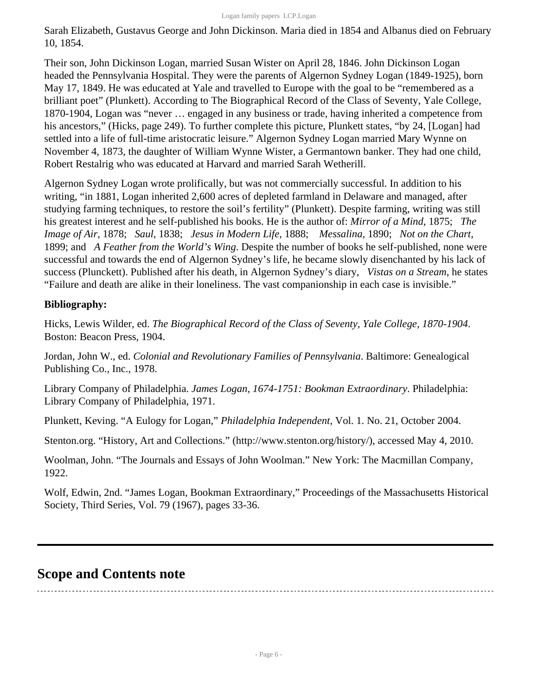Sarah Elizabeth, Gustavus George and John Dickinson. Maria died in 1854 and Albanus died on February 10, 1854.

Their son, John Dickinson Logan, married Susan Wister on April 28, 1846. John Dickinson Logan headed the Pennsylvania Hospital. They were the parents of Algernon Sydney Logan (1849-1925), born May 17, 1849. He was educated at Yale and travelled to Europe with the goal to be "remembered as a brilliant poet" (Plunkett). According to The Biographical Record of the Class of Seventy, Yale College, 1870-1904, Logan was "never … engaged in any business or trade, having inherited a competence from his ancestors," (Hicks, page 249). To further complete this picture, Plunkett states, "by 24, [Logan] had settled into a life of full-time aristocratic leisure." Algernon Sydney Logan married Mary Wynne on November 4, 1873, the daughter of William Wynne Wister, a Germantown banker. They had one child, Robert Restalrig who was educated at Harvard and married Sarah Wetherill.

Algernon Sydney Logan wrote prolifically, but was not commercially successful. In addition to his writing, "in 1881, Logan inherited 2,600 acres of depleted farmland in Delaware and managed, after studying farming techniques, to restore the soil's fertility" (Plunkett). Despite farming, writing was still his greatest interest and he self-published his books. He is the author of: *Mirror of a Mind*, 1875; *The Image of Air*, 1878; *Saul*, 1838; *Jesus in Modern Life*, 1888; *Messalina*, 1890; *Not on the Chart*, 1899; and *A Feather from the World's Wing*. Despite the number of books he self-published, none were successful and towards the end of Algernon Sydney's life, he became slowly disenchanted by his lack of success (Plunckett). Published after his death, in Algernon Sydney's diary, *Vistas on a Stream*, he states "Failure and death are alike in their loneliness. The vast companionship in each case is invisible."

### **Bibliography:**

Hicks, Lewis Wilder, ed. *The Biographical Record of the Class of Seventy, Yale College, 1870-1904*. Boston: Beacon Press, 1904.

Jordan, John W., ed. *Colonial and Revolutionary Families of Pennsylvania*. Baltimore: Genealogical Publishing Co., Inc., 1978.

Library Company of Philadelphia. *James Logan, 1674-1751: Bookman Extraordinary*. Philadelphia: Library Company of Philadelphia, 1971.

Plunkett, Keving. "A Eulogy for Logan," *Philadelphia Independent*, Vol. 1. No. 21, October 2004.

Stenton.org. "History, Art and Collections." (http://www.stenton.org/history/), accessed May 4, 2010.

Woolman, John. "The Journals and Essays of John Woolman." New York: The Macmillan Company, 1922.

Wolf, Edwin, 2nd. "James Logan, Bookman Extraordinary," Proceedings of the Massachusetts Historical Society, Third Series, Vol. 79 (1967), pages 33-36.

## <span id="page-5-0"></span>**Scope and Contents note**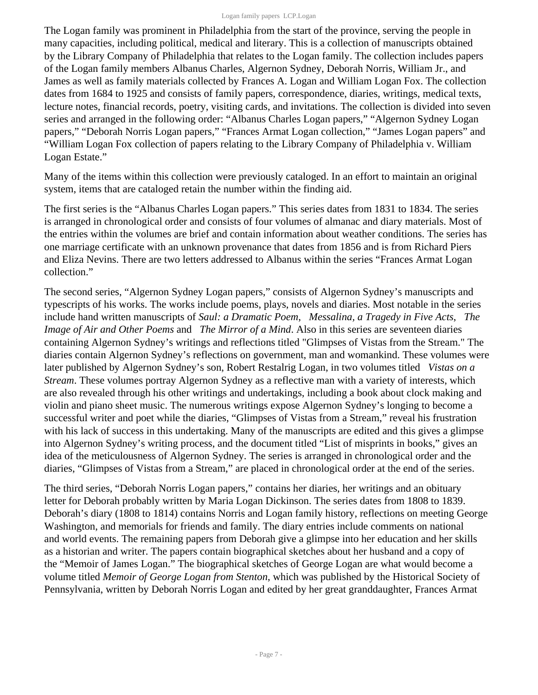The Logan family was prominent in Philadelphia from the start of the province, serving the people in many capacities, including political, medical and literary. This is a collection of manuscripts obtained by the Library Company of Philadelphia that relates to the Logan family. The collection includes papers of the Logan family members Albanus Charles, Algernon Sydney, Deborah Norris, William Jr., and James as well as family materials collected by Frances A. Logan and William Logan Fox. The collection dates from 1684 to 1925 and consists of family papers, correspondence, diaries, writings, medical texts, lecture notes, financial records, poetry, visiting cards, and invitations. The collection is divided into seven series and arranged in the following order: "Albanus Charles Logan papers," "Algernon Sydney Logan papers," "Deborah Norris Logan papers," "Frances Armat Logan collection," "James Logan papers" and "William Logan Fox collection of papers relating to the Library Company of Philadelphia v. William Logan Estate."

Many of the items within this collection were previously cataloged. In an effort to maintain an original system, items that are cataloged retain the number within the finding aid.

The first series is the "Albanus Charles Logan papers." This series dates from 1831 to 1834. The series is arranged in chronological order and consists of four volumes of almanac and diary materials. Most of the entries within the volumes are brief and contain information about weather conditions. The series has one marriage certificate with an unknown provenance that dates from 1856 and is from Richard Piers and Eliza Nevins. There are two letters addressed to Albanus within the series "Frances Armat Logan collection."

The second series, "Algernon Sydney Logan papers," consists of Algernon Sydney's manuscripts and typescripts of his works. The works include poems, plays, novels and diaries. Most notable in the series include hand written manuscripts of *Saul: a Dramatic Poem*, *Messalina, a Tragedy in Five Acts*, *The Image of Air and Other Poems* and *The Mirror of a Mind*. Also in this series are seventeen diaries containing Algernon Sydney's writings and reflections titled "Glimpses of Vistas from the Stream." The diaries contain Algernon Sydney's reflections on government, man and womankind. These volumes were later published by Algernon Sydney's son, Robert Restalrig Logan, in two volumes titled *Vistas on a Stream*. These volumes portray Algernon Sydney as a reflective man with a variety of interests, which are also revealed through his other writings and undertakings, including a book about clock making and violin and piano sheet music. The numerous writings expose Algernon Sydney's longing to become a successful writer and poet while the diaries, "Glimpses of Vistas from a Stream," reveal his frustration with his lack of success in this undertaking. Many of the manuscripts are edited and this gives a glimpse into Algernon Sydney's writing process, and the document titled "List of misprints in books," gives an idea of the meticulousness of Algernon Sydney. The series is arranged in chronological order and the diaries, "Glimpses of Vistas from a Stream," are placed in chronological order at the end of the series.

The third series, "Deborah Norris Logan papers," contains her diaries, her writings and an obituary letter for Deborah probably written by Maria Logan Dickinson. The series dates from 1808 to 1839. Deborah's diary (1808 to 1814) contains Norris and Logan family history, reflections on meeting George Washington, and memorials for friends and family. The diary entries include comments on national and world events. The remaining papers from Deborah give a glimpse into her education and her skills as a historian and writer. The papers contain biographical sketches about her husband and a copy of the "Memoir of James Logan." The biographical sketches of George Logan are what would become a volume titled *Memoir of George Logan from Stenton*, which was published by the Historical Society of Pennsylvania, written by Deborah Norris Logan and edited by her great granddaughter, Frances Armat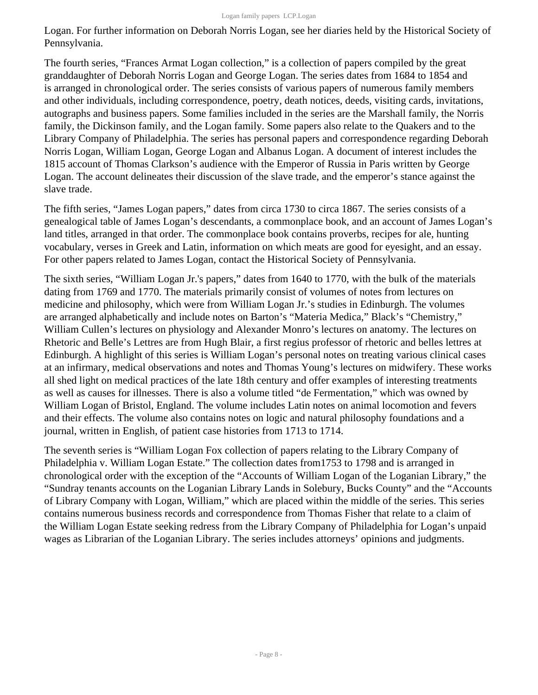Logan. For further information on Deborah Norris Logan, see her diaries held by the Historical Society of Pennsylvania.

The fourth series, "Frances Armat Logan collection," is a collection of papers compiled by the great granddaughter of Deborah Norris Logan and George Logan. The series dates from 1684 to 1854 and is arranged in chronological order. The series consists of various papers of numerous family members and other individuals, including correspondence, poetry, death notices, deeds, visiting cards, invitations, autographs and business papers. Some families included in the series are the Marshall family, the Norris family, the Dickinson family, and the Logan family. Some papers also relate to the Quakers and to the Library Company of Philadelphia. The series has personal papers and correspondence regarding Deborah Norris Logan, William Logan, George Logan and Albanus Logan. A document of interest includes the 1815 account of Thomas Clarkson's audience with the Emperor of Russia in Paris written by George Logan. The account delineates their discussion of the slave trade, and the emperor's stance against the slave trade.

The fifth series, "James Logan papers," dates from circa 1730 to circa 1867. The series consists of a genealogical table of James Logan's descendants, a commonplace book, and an account of James Logan's land titles, arranged in that order. The commonplace book contains proverbs, recipes for ale, hunting vocabulary, verses in Greek and Latin, information on which meats are good for eyesight, and an essay. For other papers related to James Logan, contact the Historical Society of Pennsylvania.

The sixth series, "William Logan Jr.'s papers," dates from 1640 to 1770, with the bulk of the materials dating from 1769 and 1770. The materials primarily consist of volumes of notes from lectures on medicine and philosophy, which were from William Logan Jr.'s studies in Edinburgh. The volumes are arranged alphabetically and include notes on Barton's "Materia Medica," Black's "Chemistry," William Cullen's lectures on physiology and Alexander Monro's lectures on anatomy. The lectures on Rhetoric and Belle's Lettres are from Hugh Blair, a first regius professor of rhetoric and belles lettres at Edinburgh. A highlight of this series is William Logan's personal notes on treating various clinical cases at an infirmary, medical observations and notes and Thomas Young's lectures on midwifery. These works all shed light on medical practices of the late 18th century and offer examples of interesting treatments as well as causes for illnesses. There is also a volume titled "de Fermentation," which was owned by William Logan of Bristol, England. The volume includes Latin notes on animal locomotion and fevers and their effects. The volume also contains notes on logic and natural philosophy foundations and a journal, written in English, of patient case histories from 1713 to 1714.

The seventh series is "William Logan Fox collection of papers relating to the Library Company of Philadelphia v. William Logan Estate." The collection dates from1753 to 1798 and is arranged in chronological order with the exception of the "Accounts of William Logan of the Loganian Library," the "Sundray tenants accounts on the Loganian Library Lands in Solebury, Bucks County" and the "Accounts of Library Company with Logan, William," which are placed within the middle of the series. This series contains numerous business records and correspondence from Thomas Fisher that relate to a claim of the William Logan Estate seeking redress from the Library Company of Philadelphia for Logan's unpaid wages as Librarian of the Loganian Library. The series includes attorneys' opinions and judgments.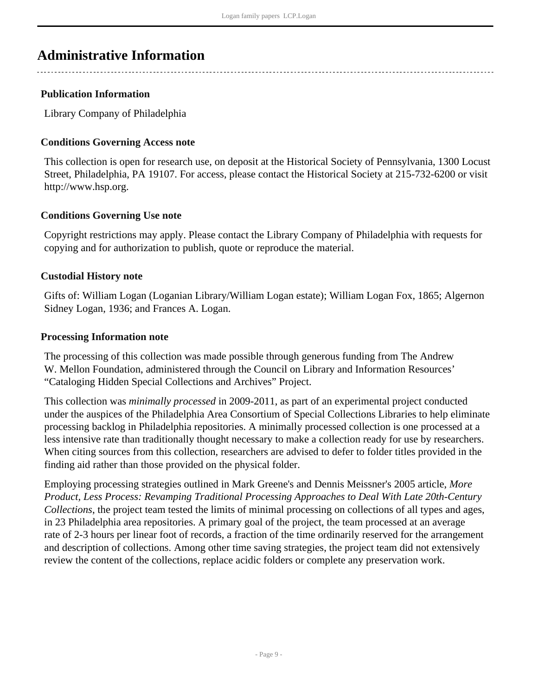# <span id="page-8-0"></span>**Administrative Information**

### **Publication Information**

Library Company of Philadelphia

### **Conditions Governing Access note**

This collection is open for research use, on deposit at the Historical Society of Pennsylvania, 1300 Locust Street, Philadelphia, PA 19107. For access, please contact the Historical Society at 215-732-6200 or visit http://www.hsp.org.

#### **Conditions Governing Use note**

Copyright restrictions may apply. Please contact the Library Company of Philadelphia with requests for copying and for authorization to publish, quote or reproduce the material.

#### **Custodial History note**

Gifts of: William Logan (Loganian Library/William Logan estate); William Logan Fox, 1865; Algernon Sidney Logan, 1936; and Frances A. Logan.

#### **Processing Information note**

The processing of this collection was made possible through generous funding from The Andrew W. Mellon Foundation, administered through the Council on Library and Information Resources' "Cataloging Hidden Special Collections and Archives" Project.

This collection was *minimally processed* in 2009-2011, as part of an experimental project conducted under the auspices of the Philadelphia Area Consortium of Special Collections Libraries to help eliminate processing backlog in Philadelphia repositories. A minimally processed collection is one processed at a less intensive rate than traditionally thought necessary to make a collection ready for use by researchers. When citing sources from this collection, researchers are advised to defer to folder titles provided in the finding aid rather than those provided on the physical folder.

Employing processing strategies outlined in Mark Greene's and Dennis Meissner's 2005 article, *More Product, Less Process: Revamping Traditional Processing Approaches to Deal With Late 20th-Century Collections*, the project team tested the limits of minimal processing on collections of all types and ages, in 23 Philadelphia area repositories. A primary goal of the project, the team processed at an average rate of 2-3 hours per linear foot of records, a fraction of the time ordinarily reserved for the arrangement and description of collections. Among other time saving strategies, the project team did not extensively review the content of the collections, replace acidic folders or complete any preservation work.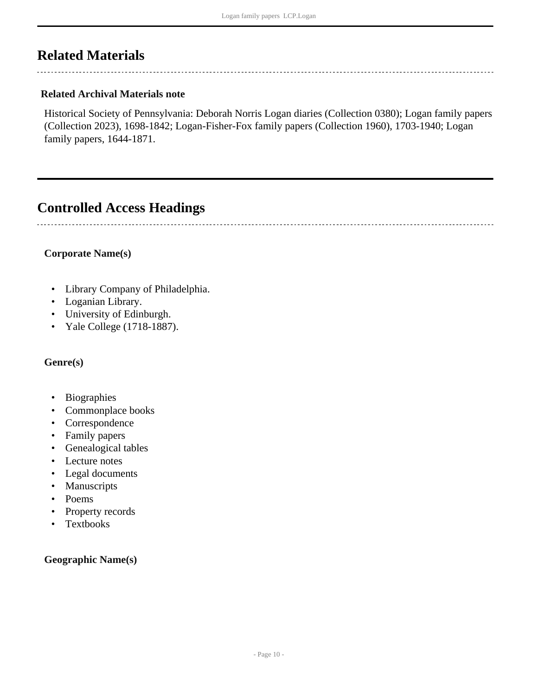# <span id="page-9-0"></span>**Related Materials**

### **Related Archival Materials note**

Historical Society of Pennsylvania: Deborah Norris Logan diaries (Collection 0380); Logan family papers (Collection 2023), 1698-1842; Logan-Fisher-Fox family papers (Collection 1960), 1703-1940; Logan family papers, 1644-1871.

## <span id="page-9-1"></span>**Controlled Access Headings**

#### **Corporate Name(s)**

- Library Company of Philadelphia.
- Loganian Library.
- University of Edinburgh.
- Yale College (1718-1887).

#### **Genre(s)**

- Biographies
- Commonplace books
- Correspondence
- Family papers
- Genealogical tables
- Lecture notes
- Legal documents
- Manuscripts
- Poems
- Property records
- Textbooks

#### **Geographic Name(s)**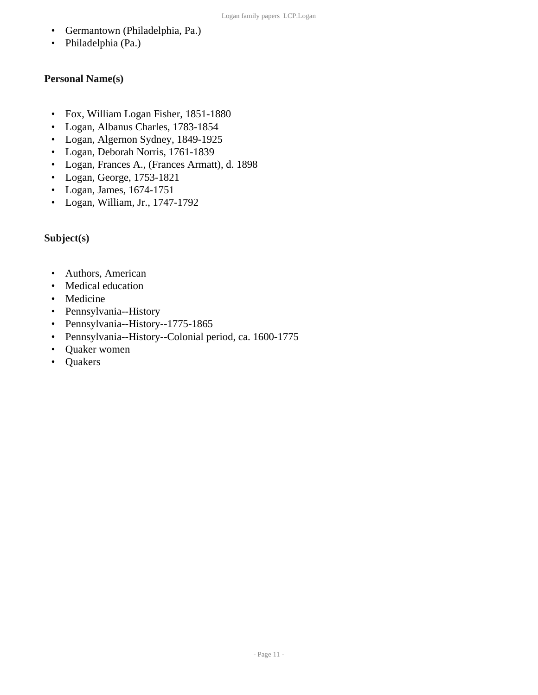- Germantown (Philadelphia, Pa.)
- Philadelphia (Pa.)

### **Personal Name(s)**

- Fox, William Logan Fisher, 1851-1880
- Logan, Albanus Charles, 1783-1854
- Logan, Algernon Sydney, 1849-1925
- Logan, Deborah Norris, 1761-1839
- Logan, Frances A., (Frances Armatt), d. 1898
- Logan, George, 1753-1821
- Logan, James, 1674-1751
- Logan, William, Jr., 1747-1792

### **Subject(s)**

- Authors, American
- Medical education
- Medicine
- Pennsylvania--History
- Pennsylvania--History--1775-1865
- Pennsylvania--History--Colonial period, ca. 1600-1775
- Quaker women
- Quakers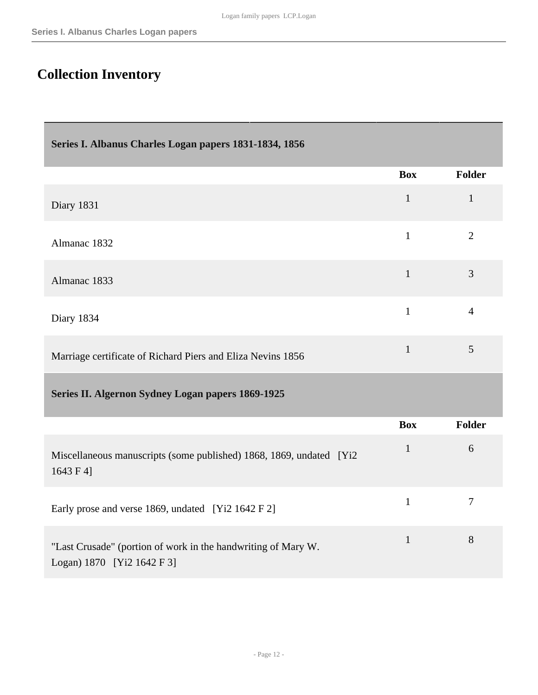# <span id="page-11-0"></span>**Collection Inventory**

<span id="page-11-2"></span><span id="page-11-1"></span>

| Series I. Albanus Charles Logan papers 1831-1834, 1856                                      |              |                |
|---------------------------------------------------------------------------------------------|--------------|----------------|
|                                                                                             | <b>Box</b>   | <b>Folder</b>  |
| Diary 1831                                                                                  | $\mathbf{1}$ | $\mathbf{1}$   |
| Almanac 1832                                                                                | $\mathbf{1}$ | $\overline{2}$ |
| Almanac 1833                                                                                | $\mathbf{1}$ | 3              |
| Diary 1834                                                                                  | $\mathbf{1}$ | $\overline{4}$ |
| Marriage certificate of Richard Piers and Eliza Nevins 1856                                 | $\mathbf{1}$ | 5              |
| Series II. Algernon Sydney Logan papers 1869-1925                                           |              |                |
|                                                                                             | <b>Box</b>   | Folder         |
| Miscellaneous manuscripts (some published) 1868, 1869, undated [Yi2]<br>1643 F 4]           | $\mathbf{1}$ | 6              |
| Early prose and verse 1869, undated [Yi2 1642 F 2]                                          | $\mathbf{1}$ | $\overline{7}$ |
| "Last Crusade" (portion of work in the handwriting of Mary W.<br>Logan) 1870 [Yi2 1642 F 3] | $\mathbf{1}$ | 8              |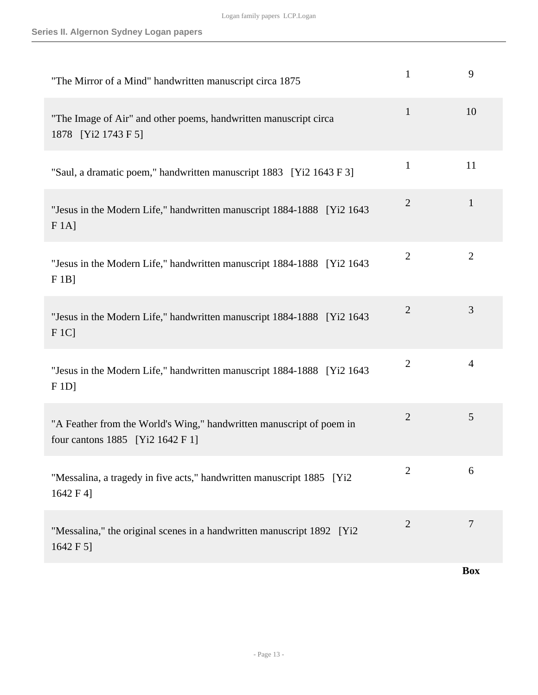| "The Mirror of a Mind" handwritten manuscript circa 1875                                                 | $\mathbf{1}$   | 9              |
|----------------------------------------------------------------------------------------------------------|----------------|----------------|
| "The Image of Air" and other poems, handwritten manuscript circa<br>1878 [Yi2 1743 F 5]                  | $\mathbf{1}$   | 10             |
| "Saul, a dramatic poem," handwritten manuscript 1883 [Yi2 1643 F 3]                                      | $\mathbf{1}$   | 11             |
| "Jesus in the Modern Life," handwritten manuscript 1884-1888 [Yi2 1643]<br>$F 1A$ ]                      | $\overline{2}$ | $\mathbf{1}$   |
| "Jesus in the Modern Life," handwritten manuscript 1884-1888 [Yi2 1643]<br>$F1B$ ]                       | $\overline{2}$ | $\overline{2}$ |
| "Jesus in the Modern Life," handwritten manuscript 1884-1888 [Yi2 1643]<br>F1Cl                          | $\mathbf{2}$   | 3              |
| "Jesus in the Modern Life," handwritten manuscript 1884-1888 [Yi2 1643<br>F 1D                           | $\overline{2}$ | $\overline{4}$ |
| "A Feather from the World's Wing," handwritten manuscript of poem in<br>four cantons 1885 [Yi2 1642 F 1] | $\overline{2}$ | 5              |
| "Messalina, a tragedy in five acts," handwritten manuscript 1885 [Yi2]<br>1642 F 4]                      | $\overline{2}$ | 6              |
| "Messalina," the original scenes in a handwritten manuscript 1892 [Yi2]<br>1642 F 5]                     | $\overline{2}$ | 7              |
|                                                                                                          |                | <b>Box</b>     |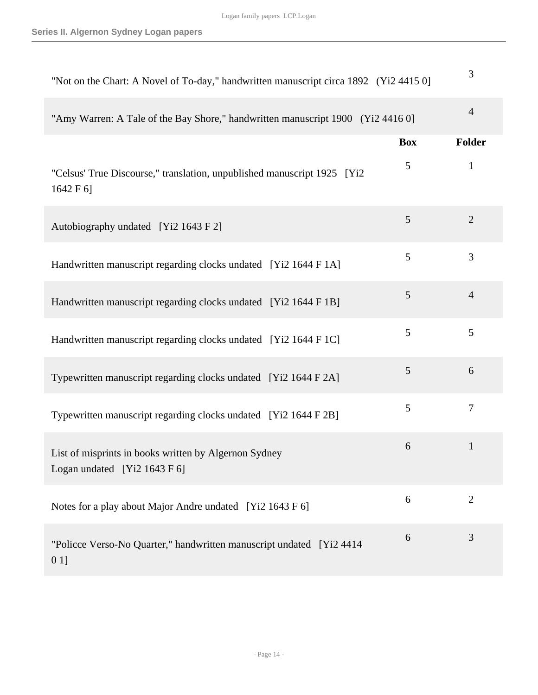| "Not on the Chart: A Novel of To-day," handwritten manuscript circa 1892 (Yi2 4415 0] |            | 3              |
|---------------------------------------------------------------------------------------|------------|----------------|
| "Amy Warren: A Tale of the Bay Shore," handwritten manuscript 1900 (Yi2 4416 0]       |            | $\overline{4}$ |
|                                                                                       | <b>Box</b> | Folder         |
| "Celsus' True Discourse," translation, unpublished manuscript 1925 [Yi2<br>1642 F 6]  | 5          | 1              |
| Autobiography undated [Yi2 1643 F 2]                                                  | 5          | $\overline{2}$ |
| Handwritten manuscript regarding clocks undated [Yi2 1644 F 1A]                       | 5          | 3              |
| Handwritten manuscript regarding clocks undated [Yi2 1644 F 1B]                       | 5          | $\overline{4}$ |
| Handwritten manuscript regarding clocks undated [Yi2 1644 F 1C]                       | 5          | 5              |
| Typewritten manuscript regarding clocks undated [Yi2 1644 F 2A]                       | 5          | 6              |
| Typewritten manuscript regarding clocks undated [Yi2 1644 F 2B]                       | 5          | 7              |
| List of misprints in books written by Algernon Sydney<br>Logan undated [Yi2 1643 F 6] | 6          | $\mathbf{1}$   |
| Notes for a play about Major Andre undated [Yi2 1643 F 6]                             | 6          | $\overline{2}$ |
| "Policce Verso-No Quarter," handwritten manuscript undated [Yi2 4414]<br>$01$ ]       | 6          | 3              |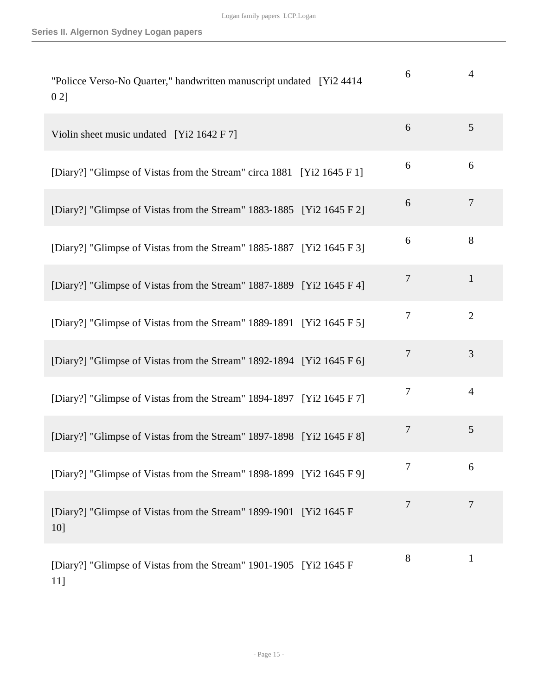| "Policce Verso-No Quarter," handwritten manuscript undated [Yi2 4414]<br>021 | 6              | $\overline{4}$ |
|------------------------------------------------------------------------------|----------------|----------------|
| Violin sheet music undated [Yi2 1642 F 7]                                    | 6              | 5              |
| [Diary?] "Glimpse of Vistas from the Stream" circa 1881 [Yi2 1645 F 1]       | 6              | 6              |
| [Diary?] "Glimpse of Vistas from the Stream" 1883-1885 [Yi2 1645 F 2]        | 6              | $\overline{7}$ |
| [Diary?] "Glimpse of Vistas from the Stream" 1885-1887 [Yi2 1645 F 3]        | 6              | 8              |
| [Diary?] "Glimpse of Vistas from the Stream" 1887-1889 [Yi2 1645 F 4]        | $\overline{7}$ | $\mathbf{1}$   |
| [Diary?] "Glimpse of Vistas from the Stream" 1889-1891 [Yi2 1645 F 5]        | 7              | $\overline{2}$ |
| [Diary?] "Glimpse of Vistas from the Stream" 1892-1894 [Yi2 1645 F 6]        | $\overline{7}$ | 3              |
| [Diary?] "Glimpse of Vistas from the Stream" 1894-1897 [Yi2 1645 F 7]        | 7              | $\overline{4}$ |
| [Diary?] "Glimpse of Vistas from the Stream" 1897-1898 [Yi2 1645 F 8]        | $\overline{7}$ | 5              |
| [Diary?] "Glimpse of Vistas from the Stream" 1898-1899 [Yi2 1645 F 9]        | 7              | 6              |
| [Diary?] "Glimpse of Vistas from the Stream" 1899-1901 [Yi2 1645 F]<br>10]   | 7              | 7              |
| [Diary?] "Glimpse of Vistas from the Stream" 1901-1905 [Yi2 1645 F]<br>11]   | 8              | $\mathbf{1}$   |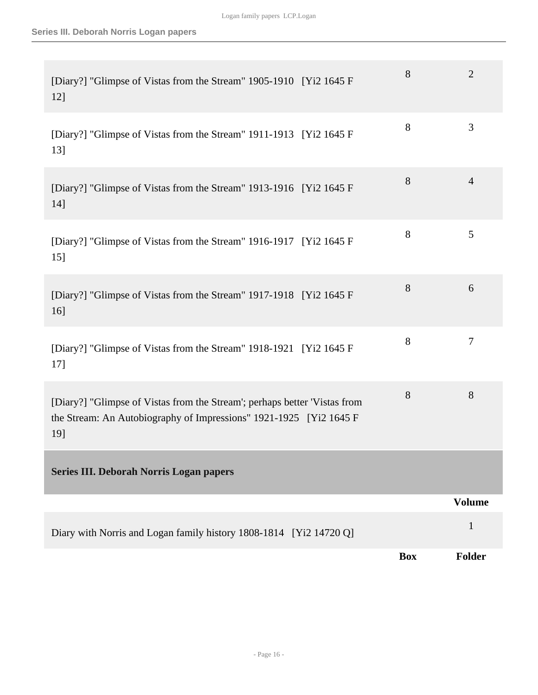<span id="page-15-0"></span>

| [Diary?] "Glimpse of Vistas from the Stream" 1905-1910 [Yi2 1645 F]<br>12]                                                                              | 8          | $\overline{2}$ |
|---------------------------------------------------------------------------------------------------------------------------------------------------------|------------|----------------|
| [Diary?] "Glimpse of Vistas from the Stream" 1911-1913 [Yi2 1645 F]<br>13]                                                                              | 8          | 3              |
| [Diary?] "Glimpse of Vistas from the Stream" 1913-1916 [Yi2 1645 F]<br>14]                                                                              | 8          | $\overline{4}$ |
| [Diary?] "Glimpse of Vistas from the Stream" 1916-1917 [Yi2 1645 F]<br>15]                                                                              | 8          | 5              |
| [Diary?] "Glimpse of Vistas from the Stream" 1917-1918 [Yi2 1645 F]<br>$16$ ]                                                                           | 8          | 6              |
| [Diary?] "Glimpse of Vistas from the Stream" 1918-1921 [Yi2 1645 F]<br>17]                                                                              | 8          | $\tau$         |
| [Diary?] "Glimpse of Vistas from the Stream'; perhaps better 'Vistas from<br>the Stream: An Autobiography of Impressions" 1921-1925 [Yi2 1645 F]<br>19] | 8          | 8              |
| Series III. Deborah Norris Logan papers                                                                                                                 |            |                |
|                                                                                                                                                         |            | <b>Volume</b>  |
| Diary with Norris and Logan family history 1808-1814 [Yi2 14720 Q]                                                                                      |            | $\mathbf{1}$   |
|                                                                                                                                                         | <b>Box</b> | Folder         |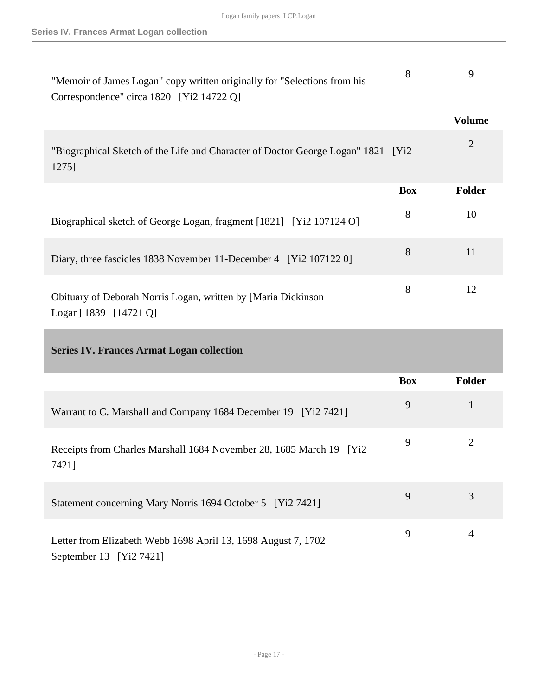<span id="page-16-0"></span>

| "Memoir of James Logan" copy written originally for "Selections from his<br>Correspondence" circa 1820 [Yi2 14722 Q] | 8          | 9              |
|----------------------------------------------------------------------------------------------------------------------|------------|----------------|
|                                                                                                                      |            | <b>Volume</b>  |
| "Biographical Sketch of the Life and Character of Doctor George Logan" 1821 [Yi2<br>1275]                            |            | $\overline{2}$ |
|                                                                                                                      | <b>Box</b> | Folder         |
| Biographical sketch of George Logan, fragment [1821] [Yi2 107124 O]                                                  | 8          | 10             |
| Diary, three fascicles 1838 November 11-December 4 [Yi2 107122 0]                                                    | 8          | 11             |
| Obituary of Deborah Norris Logan, written by [Maria Dickinson<br>Logan] 1839 [14721 Q]                               | 8          | 12             |
| <b>Series IV. Frances Armat Logan collection</b>                                                                     |            |                |
|                                                                                                                      | <b>Box</b> | Folder         |
| Warrant to C. Marshall and Company 1684 December 19 [Yi2 7421]                                                       | 9          | $\mathbf{1}$   |
| Receipts from Charles Marshall 1684 November 28, 1685 March 19 [Yi2<br>7421]                                         | 9          | $\overline{2}$ |
| Statement concerning Mary Norris 1694 October 5 [Yi2 7421]                                                           | 9          | 3              |
| Letter from Elizabeth Webb 1698 April 13, 1698 August 7, 1702<br>September 13 [Yi2 7421]                             | 9          | 4              |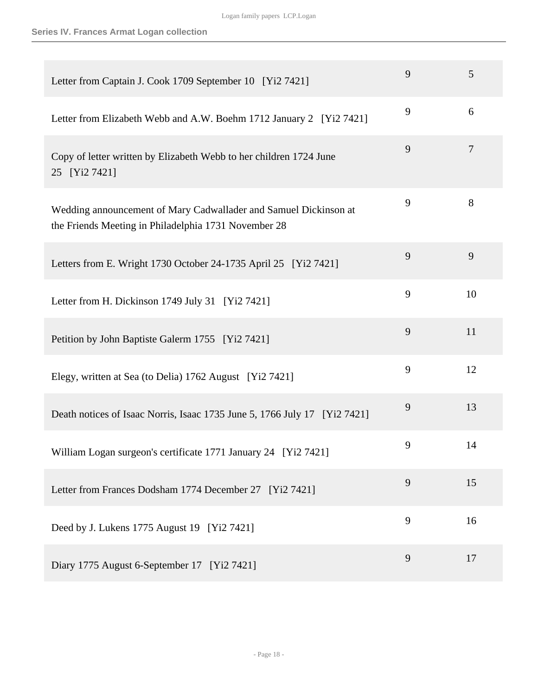| Letter from Captain J. Cook 1709 September 10 [Yi2 7421]                                                                 | 9 | 5      |
|--------------------------------------------------------------------------------------------------------------------------|---|--------|
| Letter from Elizabeth Webb and A.W. Boehm 1712 January 2 [Yi2 7421]                                                      | 9 | 6      |
| Copy of letter written by Elizabeth Webb to her children 1724 June<br>25 [Yi2 7421]                                      | 9 | $\tau$ |
| Wedding announcement of Mary Cadwallader and Samuel Dickinson at<br>the Friends Meeting in Philadelphia 1731 November 28 | 9 | 8      |
| Letters from E. Wright 1730 October 24-1735 April 25 [Yi2 7421]                                                          | 9 | 9      |
| Letter from H. Dickinson 1749 July 31 [Yi2 7421]                                                                         | 9 | 10     |
| Petition by John Baptiste Galerm 1755 [Yi2 7421]                                                                         | 9 | 11     |
| Elegy, written at Sea (to Delia) 1762 August [Yi2 7421]                                                                  | 9 | 12     |
| Death notices of Isaac Norris, Isaac 1735 June 5, 1766 July 17 [Yi2 7421]                                                | 9 | 13     |
| William Logan surgeon's certificate 1771 January 24 [Yi2 7421]                                                           | 9 | 14     |
| Letter from Frances Dodsham 1774 December 27 [Yi2 7421]                                                                  | 9 | 15     |
| Deed by J. Lukens 1775 August 19 [Yi2 7421]                                                                              | 9 | 16     |
| Diary 1775 August 6-September 17 [Yi2 7421]                                                                              | 9 | 17     |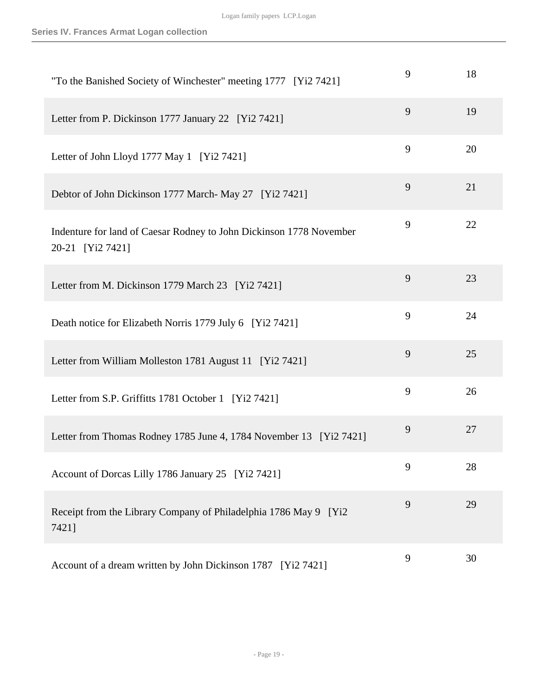| "To the Banished Society of Winchester" meeting 1777 [Yi2 7421]                         | 9 | 18 |
|-----------------------------------------------------------------------------------------|---|----|
| Letter from P. Dickinson 1777 January 22 [Yi2 7421]                                     | 9 | 19 |
| Letter of John Lloyd 1777 May 1 [Yi2 7421]                                              | 9 | 20 |
| Debtor of John Dickinson 1777 March-May 27 [Yi2 7421]                                   | 9 | 21 |
| Indenture for land of Caesar Rodney to John Dickinson 1778 November<br>20-21 [Yi2 7421] | 9 | 22 |
| Letter from M. Dickinson 1779 March 23 [Yi2 7421]                                       | 9 | 23 |
| Death notice for Elizabeth Norris 1779 July 6 [Yi2 7421]                                | 9 | 24 |
| Letter from William Molleston 1781 August 11 [Yi2 7421]                                 | 9 | 25 |
| Letter from S.P. Griffitts 1781 October 1 [Yi2 7421]                                    | 9 | 26 |
| Letter from Thomas Rodney 1785 June 4, 1784 November 13 [Yi2 7421]                      | 9 | 27 |
| Account of Dorcas Lilly 1786 January 25 [Yi2 7421]                                      | 9 | 28 |
| Receipt from the Library Company of Philadelphia 1786 May 9 [Yi2<br>7421]               | 9 | 29 |
| Account of a dream written by John Dickinson 1787 [Yi2 7421]                            | 9 | 30 |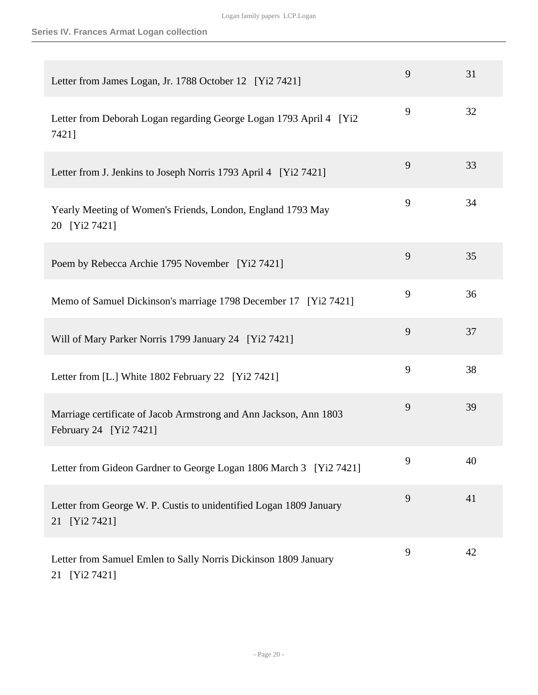| Letter from James Logan, Jr. 1788 October 12 [Yi2 7421]                                     | 9 | 31 |
|---------------------------------------------------------------------------------------------|---|----|
| Letter from Deborah Logan regarding George Logan 1793 April 4 [Yi2<br>7421]                 | 9 | 32 |
| Letter from J. Jenkins to Joseph Norris 1793 April 4 [Yi2 7421]                             | 9 | 33 |
| Yearly Meeting of Women's Friends, London, England 1793 May<br>20 [Yi2 7421]                | 9 | 34 |
| Poem by Rebecca Archie 1795 November [Yi2 7421]                                             | 9 | 35 |
| Memo of Samuel Dickinson's marriage 1798 December 17 [Yi2 7421]                             | 9 | 36 |
| Will of Mary Parker Norris 1799 January 24 [Yi2 7421]                                       | 9 | 37 |
| Letter from [L.] White 1802 February 22 [Yi2 7421]                                          | 9 | 38 |
| Marriage certificate of Jacob Armstrong and Ann Jackson, Ann 1803<br>February 24 [Yi2 7421] | 9 | 39 |
| Letter from Gideon Gardner to George Logan 1806 March 3 [Yi2 7421]                          | 9 | 40 |
| Letter from George W. P. Custis to unidentified Logan 1809 January<br>21 [Yi2 7421]         | 9 | 41 |
| Letter from Samuel Emlen to Sally Norris Dickinson 1809 January<br>21 [Yi2 7421]            | 9 | 42 |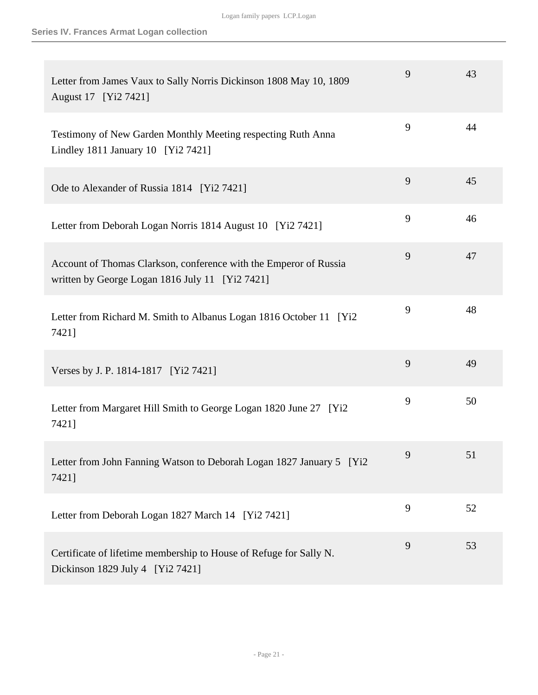| Letter from James Vaux to Sally Norris Dickinson 1808 May 10, 1809<br>August 17 [Yi2 7421]                           | 9 | 43 |
|----------------------------------------------------------------------------------------------------------------------|---|----|
| Testimony of New Garden Monthly Meeting respecting Ruth Anna<br>Lindley 1811 January 10 [Yi2 7421]                   | 9 | 44 |
| Ode to Alexander of Russia 1814 [Yi2 7421]                                                                           | 9 | 45 |
| Letter from Deborah Logan Norris 1814 August 10 [Yi2 7421]                                                           | 9 | 46 |
| Account of Thomas Clarkson, conference with the Emperor of Russia<br>written by George Logan 1816 July 11 [Yi2 7421] | 9 | 47 |
| Letter from Richard M. Smith to Albanus Logan 1816 October 11 [Yi2<br>7421]                                          | 9 | 48 |
| Verses by J. P. 1814-1817 [Yi2 7421]                                                                                 | 9 | 49 |
| Letter from Margaret Hill Smith to George Logan 1820 June 27 [Yi2]<br>7421]                                          | 9 | 50 |
| Letter from John Fanning Watson to Deborah Logan 1827 January 5 [Yi2]<br>7421]                                       | 9 | 51 |
| Letter from Deborah Logan 1827 March 14 [Yi2 7421]                                                                   | 9 | 52 |
| Certificate of lifetime membership to House of Refuge for Sally N.<br>Dickinson 1829 July 4 [Yi2 7421]               | 9 | 53 |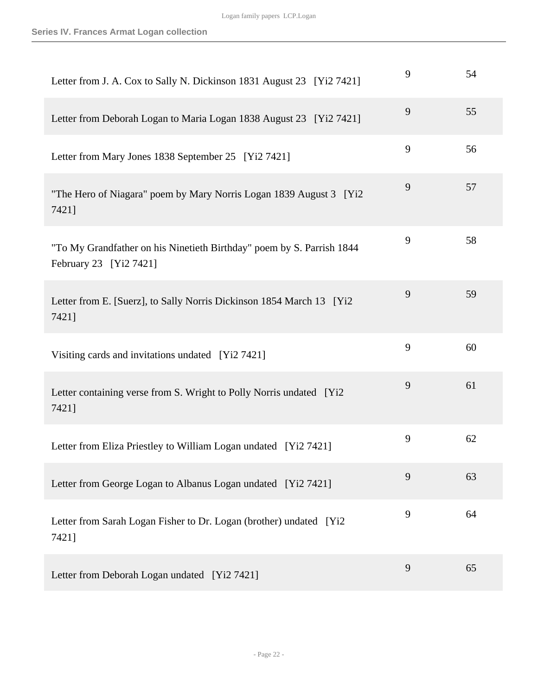| Letter from J. A. Cox to Sally N. Dickinson 1831 August 23 [Yi2 7421]                           | 9 | 54 |
|-------------------------------------------------------------------------------------------------|---|----|
| Letter from Deborah Logan to Maria Logan 1838 August 23 [Yi2 7421]                              | 9 | 55 |
| Letter from Mary Jones 1838 September 25 [Yi2 7421]                                             | 9 | 56 |
| "The Hero of Niagara" poem by Mary Norris Logan 1839 August 3 [Yi2]<br>7421]                    | 9 | 57 |
| "To My Grandfather on his Ninetieth Birthday" poem by S. Parrish 1844<br>February 23 [Yi2 7421] | 9 | 58 |
| Letter from E. [Suerz], to Sally Norris Dickinson 1854 March 13 [Yi2]<br>7421]                  | 9 | 59 |
| Visiting cards and invitations undated [Yi2 7421]                                               | 9 | 60 |
| Letter containing verse from S. Wright to Polly Norris undated [Yi2<br>7421]                    | 9 | 61 |
| Letter from Eliza Priestley to William Logan undated [Yi2 7421]                                 | 9 | 62 |
| Letter from George Logan to Albanus Logan undated [Yi2 7421]                                    | 9 | 63 |
| Letter from Sarah Logan Fisher to Dr. Logan (brother) undated [Yi2<br>7421]                     | 9 | 64 |
| Letter from Deborah Logan undated [Yi2 7421]                                                    | 9 | 65 |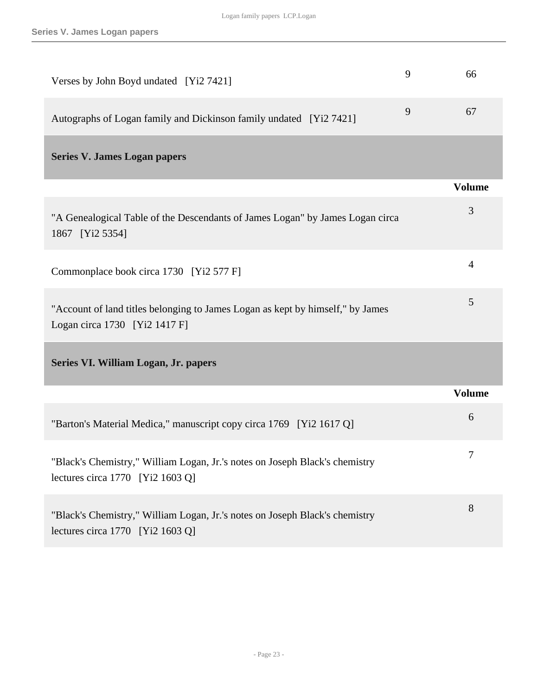<span id="page-22-1"></span><span id="page-22-0"></span>

| Verses by John Boyd undated [Yi2 7421]                                                                            | 9 | 66             |
|-------------------------------------------------------------------------------------------------------------------|---|----------------|
| Autographs of Logan family and Dickinson family undated [Yi2 7421]                                                | 9 | 67             |
| <b>Series V. James Logan papers</b>                                                                               |   |                |
|                                                                                                                   |   | <b>Volume</b>  |
| "A Genealogical Table of the Descendants of James Logan" by James Logan circa<br>1867 [Yi2 5354]                  |   | 3              |
| Commonplace book circa 1730 [Yi2 577 F]                                                                           |   | $\overline{4}$ |
| "Account of land titles belonging to James Logan as kept by himself," by James<br>Logan circa 1730 [Yi2 1417 F]   |   | 5              |
| Series VI. William Logan, Jr. papers                                                                              |   |                |
|                                                                                                                   |   | <b>Volume</b>  |
| "Barton's Material Medica," manuscript copy circa 1769 [Yi2 1617 Q]                                               |   | 6              |
| "Black's Chemistry," William Logan, Jr.'s notes on Joseph Black's chemistry<br>lectures circa $1770$ [Yi2 1603 Q] |   | 7              |
| "Black's Chemistry," William Logan, Jr.'s notes on Joseph Black's chemistry<br>lectures circa 1770 [Yi2 1603 Q]   |   | 8              |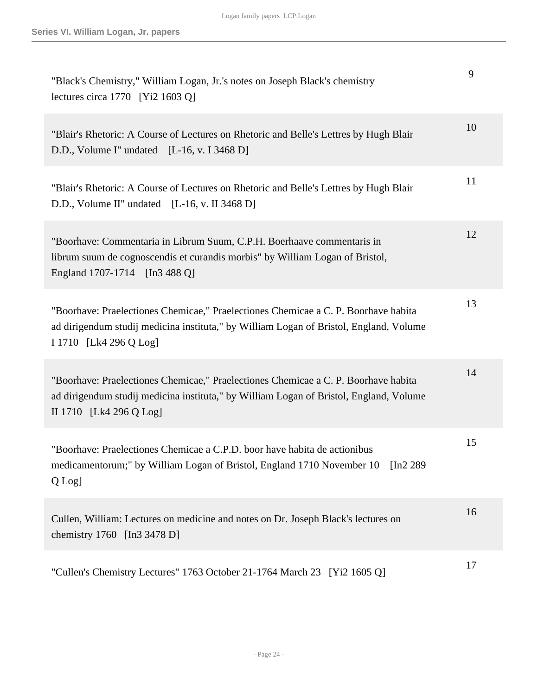| "Black's Chemistry," William Logan, Jr.'s notes on Joseph Black's chemistry<br>lectures circa $1770$ [Yi2 1603 Q]                                                                                       | 9  |
|---------------------------------------------------------------------------------------------------------------------------------------------------------------------------------------------------------|----|
| "Blair's Rhetoric: A Course of Lectures on Rhetoric and Belle's Lettres by Hugh Blair<br>D.D., Volume I" undated $[L-16, v. I 3468 D]$                                                                  | 10 |
| "Blair's Rhetoric: A Course of Lectures on Rhetoric and Belle's Lettres by Hugh Blair<br>D.D., Volume II" undated [L-16, v. II 3468 D]                                                                  | 11 |
| "Boorhave: Commentaria in Librum Suum, C.P.H. Boerhaave commentaris in<br>librum suum de cognoscendis et curandis morbis" by William Logan of Bristol,<br>England 1707-1714 [In 3488 Q]                 | 12 |
| "Boorhave: Praelectiones Chemicae," Praelectiones Chemicae a C. P. Boorhave habita<br>ad dirigendum studij medicina instituta," by William Logan of Bristol, England, Volume<br>I 1710 [Lk4 296 Q Log]  | 13 |
| "Boorhave: Praelectiones Chemicae," Praelectiones Chemicae a C. P. Boorhave habita<br>ad dirigendum studij medicina instituta," by William Logan of Bristol, England, Volume<br>II 1710 [Lk4 296 Q Log] | 14 |
| "Boorhave: Praelectiones Chemicae a C.P.D. boor have habita de actionibus<br>medicamentorum;" by William Logan of Bristol, England 1710 November 10<br>[In2 289]<br>Q Log]                              | 15 |
| Cullen, William: Lectures on medicine and notes on Dr. Joseph Black's lectures on<br>chemistry 1760 [In3 3478 D]                                                                                        | 16 |
| "Cullen's Chemistry Lectures" 1763 October 21-1764 March 23 [Yi2 1605 Q]                                                                                                                                | 17 |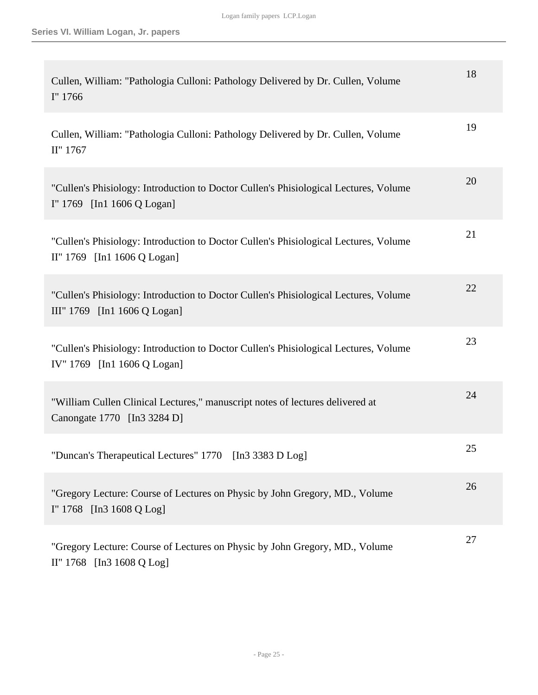| Cullen, William: "Pathologia Culloni: Pathology Delivered by Dr. Cullen, Volume<br>I" 1766                           | 18 |
|----------------------------------------------------------------------------------------------------------------------|----|
| Cullen, William: "Pathologia Culloni: Pathology Delivered by Dr. Cullen, Volume<br>II" 1767                          | 19 |
| "Cullen's Phisiology: Introduction to Doctor Cullen's Phisiological Lectures, Volume<br>I" 1769 [In1 1606 Q Logan]   | 20 |
| "Cullen's Phisiology: Introduction to Doctor Cullen's Phisiological Lectures, Volume<br>II" 1769 [In1 1606 Q Logan]  | 21 |
| "Cullen's Phisiology: Introduction to Doctor Cullen's Phisiological Lectures, Volume<br>III" 1769 [In1 1606 Q Logan] | 22 |
| "Cullen's Phisiology: Introduction to Doctor Cullen's Phisiological Lectures, Volume<br>IV" 1769 [In1 1606 Q Logan]  | 23 |
| "William Cullen Clinical Lectures," manuscript notes of lectures delivered at<br>Canongate 1770 [In3 3284 D]         | 24 |
| "Duncan's Therapeutical Lectures" 1770 [In3 3383 D Log]                                                              | 25 |
| "Gregory Lecture: Course of Lectures on Physic by John Gregory, MD., Volume<br>I" 1768 [In3 1608 Q Log]              | 26 |
| "Gregory Lecture: Course of Lectures on Physic by John Gregory, MD., Volume<br>II" 1768 [In3 1608 Q Log]             | 27 |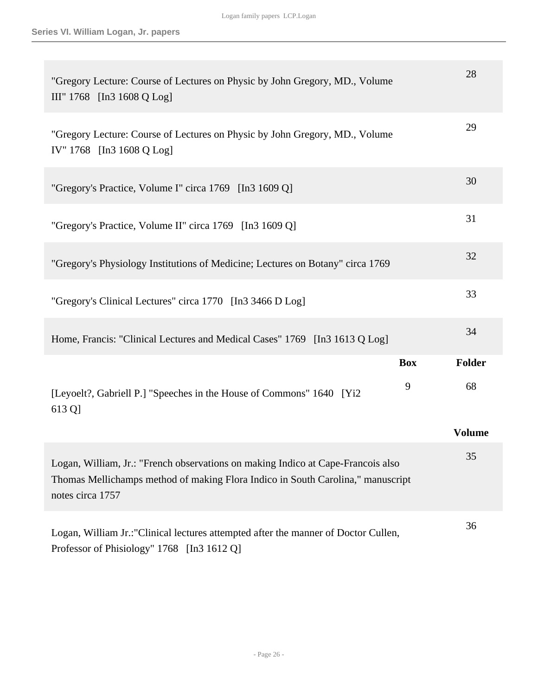| "Gregory Lecture: Course of Lectures on Physic by John Gregory, MD., Volume<br>III" 1768 [In3 1608 Q Log]                                                                               |            | 28            |
|-----------------------------------------------------------------------------------------------------------------------------------------------------------------------------------------|------------|---------------|
| "Gregory Lecture: Course of Lectures on Physic by John Gregory, MD., Volume<br>IV" 1768 [In3 1608 Q Log]                                                                                |            | 29            |
| "Gregory's Practice, Volume I" circa 1769 [In3 1609 Q]                                                                                                                                  |            | 30            |
| "Gregory's Practice, Volume II" circa 1769 [In3 1609 Q]                                                                                                                                 |            | 31            |
| "Gregory's Physiology Institutions of Medicine; Lectures on Botany" circa 1769                                                                                                          |            | 32            |
| "Gregory's Clinical Lectures" circa 1770 [In3 3466 D Log]                                                                                                                               |            | 33            |
| Home, Francis: "Clinical Lectures and Medical Cases" 1769 [In3 1613 Q Log]                                                                                                              |            | 34            |
|                                                                                                                                                                                         | <b>Box</b> | Folder        |
| [Leyoelt?, Gabriell P.] "Speeches in the House of Commons" 1640 [Yi2]<br>613 Q                                                                                                          | 9          | 68            |
|                                                                                                                                                                                         |            | <b>Volume</b> |
| Logan, William, Jr.: "French observations on making Indico at Cape-Francois also<br>Thomas Mellichamps method of making Flora Indico in South Carolina," manuscript<br>notes circa 1757 |            | 35            |
| Logan, William Jr.: "Clinical lectures attempted after the manner of Doctor Cullen,<br>Professor of Phisiology" 1768 [In3 1612 Q]                                                       |            | 36            |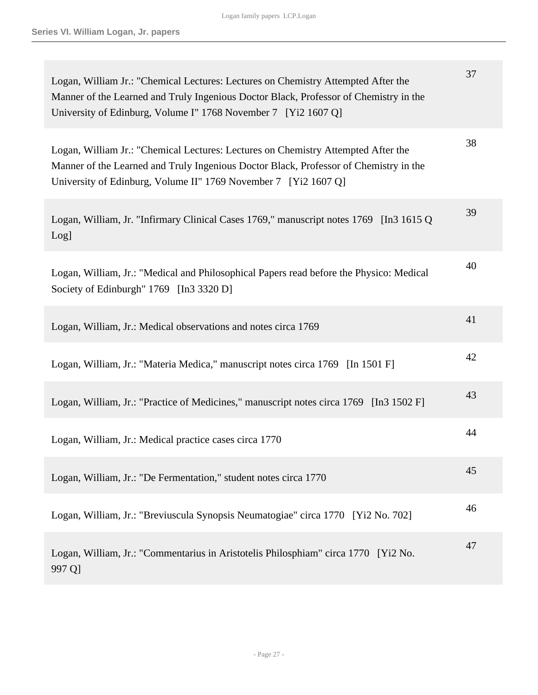| Logan, William Jr.: "Chemical Lectures: Lectures on Chemistry Attempted After the<br>Manner of the Learned and Truly Ingenious Doctor Black, Professor of Chemistry in the<br>University of Edinburg, Volume I" 1768 November 7 [Yi2 1607 Q]  | 37 |
|-----------------------------------------------------------------------------------------------------------------------------------------------------------------------------------------------------------------------------------------------|----|
| Logan, William Jr.: "Chemical Lectures: Lectures on Chemistry Attempted After the<br>Manner of the Learned and Truly Ingenious Doctor Black, Professor of Chemistry in the<br>University of Edinburg, Volume II" 1769 November 7 [Yi2 1607 Q] | 38 |
| Logan, William, Jr. "Infirmary Clinical Cases 1769," manuscript notes 1769 [In3 1615 Q]<br>Log]                                                                                                                                               | 39 |
| Logan, William, Jr.: "Medical and Philosophical Papers read before the Physico: Medical<br>Society of Edinburgh" 1769 [In3 3320 D]                                                                                                            | 40 |
| Logan, William, Jr.: Medical observations and notes circa 1769                                                                                                                                                                                | 41 |
| Logan, William, Jr.: "Materia Medica," manuscript notes circa 1769 [In 1501 F]                                                                                                                                                                | 42 |
| Logan, William, Jr.: "Practice of Medicines," manuscript notes circa 1769 [In3 1502 F]                                                                                                                                                        | 43 |
| Logan, William, Jr.: Medical practice cases circa 1770                                                                                                                                                                                        | 44 |
| Logan, William, Jr.: "De Fermentation," student notes circa 1770                                                                                                                                                                              | 45 |
| Logan, William, Jr.: "Breviuscula Synopsis Neumatogiae" circa 1770 [Yi2 No. 702]                                                                                                                                                              | 46 |
| Logan, William, Jr.: "Commentarius in Aristotelis Philosphiam" circa 1770 [Yi2 No.<br>997 Q]                                                                                                                                                  | 47 |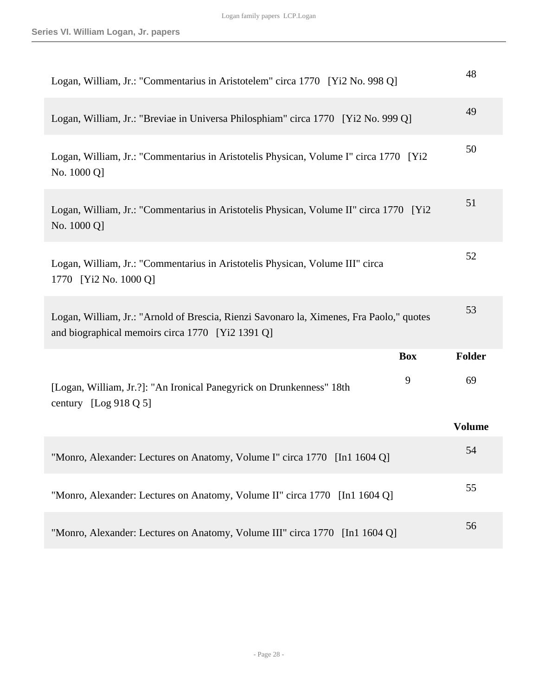| Logan, William, Jr.: "Commentarius in Aristotelem" circa 1770 [Yi2 No. 998 Q]                                                                | 48            |
|----------------------------------------------------------------------------------------------------------------------------------------------|---------------|
| Logan, William, Jr.: "Breviae in Universa Philosphiam" circa 1770 [Yi2 No. 999 Q]                                                            | 49            |
| Logan, William, Jr.: "Commentarius in Aristotelis Physican, Volume I" circa 1770 [Yi2]<br>No. 1000 Q]                                        | 50            |
| Logan, William, Jr.: "Commentarius in Aristotelis Physican, Volume II" circa 1770 [Yi2]<br>No. 1000 Q]                                       | 51            |
| Logan, William, Jr.: "Commentarius in Aristotelis Physican, Volume III" circa<br>1770 [Yi2 No. 1000 Q]                                       | 52            |
| Logan, William, Jr.: "Arnold of Brescia, Rienzi Savonaro la, Ximenes, Fra Paolo," quotes<br>and biographical memoirs circa 1770 [Yi2 1391 Q] | 53            |
| <b>Box</b>                                                                                                                                   | <b>Folder</b> |
| 9<br>[Logan, William, Jr.?]: "An Ironical Panegyrick on Drunkenness" 18th<br>century [Log 918 Q 5]                                           | 69            |
|                                                                                                                                              | <b>Volume</b> |
| "Monro, Alexander: Lectures on Anatomy, Volume I" circa 1770 [In1 1604 Q]                                                                    | 54            |
| "Monro, Alexander: Lectures on Anatomy, Volume II" circa 1770 [In1 1604 Q]                                                                   | 55            |
| "Monro, Alexander: Lectures on Anatomy, Volume III" circa 1770 [In1 1604 Q]                                                                  | 56            |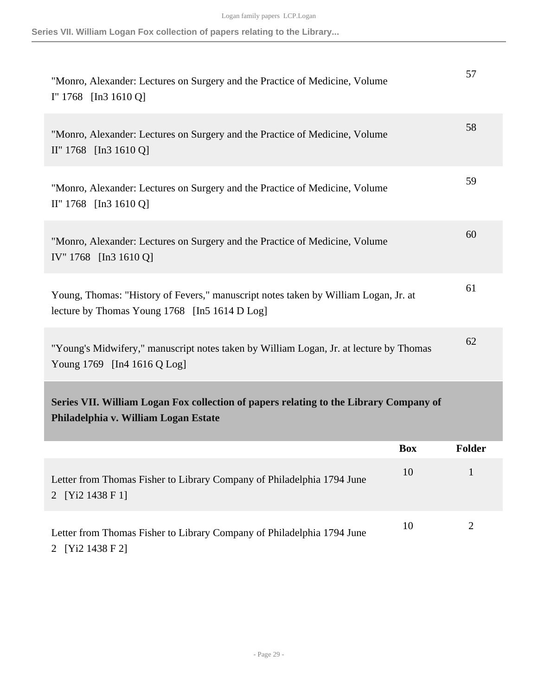**Series VII. William Logan Fox collection of papers relating to the Library...**

<span id="page-28-0"></span>

| "Monro, Alexander: Lectures on Surgery and the Practice of Medicine, Volume<br>$I''$ 1768 [In3 1610 Q]                               |            | 57     |
|--------------------------------------------------------------------------------------------------------------------------------------|------------|--------|
| "Monro, Alexander: Lectures on Surgery and the Practice of Medicine, Volume<br>$II''$ 1768 [In 3 1610 Q]                             |            | 58     |
| "Monro, Alexander: Lectures on Surgery and the Practice of Medicine, Volume<br>II" 1768 [In3 1610 Q]                                 |            | 59     |
| "Monro, Alexander: Lectures on Surgery and the Practice of Medicine, Volume<br>IV" 1768 [In3 1610 Q]                                 |            | 60     |
| Young, Thomas: "History of Fevers," manuscript notes taken by William Logan, Jr. at<br>lecture by Thomas Young 1768 [In5 1614 D Log] |            | 61     |
| "Young's Midwifery," manuscript notes taken by William Logan, Jr. at lecture by Thomas<br>Young 1769 [In4 1616 Q Log]                |            | 62     |
| Series VII. William Logan Fox collection of papers relating to the Library Company of<br>Philadelphia v. William Logan Estate        |            |        |
|                                                                                                                                      | <b>Box</b> | Folder |
| Letter from Thomas Fisher to Library Company of Philadelphia 1794 June<br>2 [Yi2 1438 F 1]                                           | 10         | 1      |
| Letter from Thomas Fisher to Library Company of Philadelphia 1794 June<br>2 [Yi2 1438 F 2]                                           | 10         | 2      |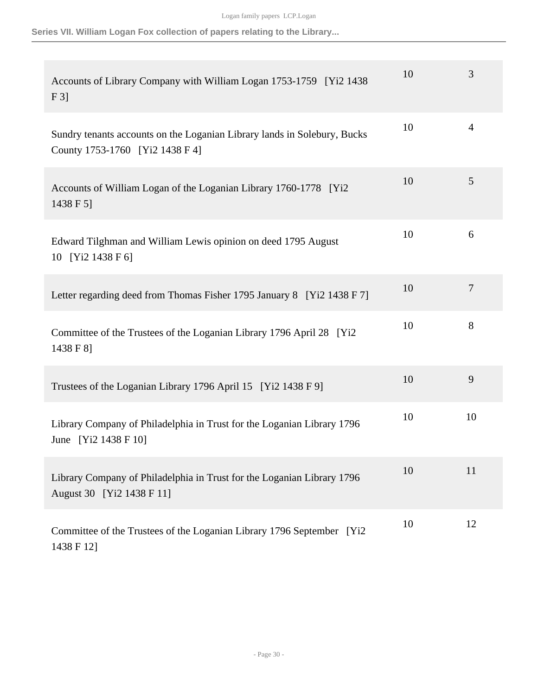**Series VII. William Logan Fox collection of papers relating to the Library...**

| Accounts of Library Company with William Logan 1753-1759 [Yi2 1438]<br>F3                                   | 10 | 3  |
|-------------------------------------------------------------------------------------------------------------|----|----|
| Sundry tenants accounts on the Loganian Library lands in Solebury, Bucks<br>County 1753-1760 [Yi2 1438 F 4] | 10 | 4  |
| Accounts of William Logan of the Loganian Library 1760-1778 [Yi2]<br>1438 F 5]                              | 10 | 5  |
| Edward Tilghman and William Lewis opinion on deed 1795 August<br>10 [Yi2 1438 F 6]                          | 10 | 6  |
| Letter regarding deed from Thomas Fisher 1795 January 8 [Yi2 1438 F 7]                                      | 10 | 7  |
| Committee of the Trustees of the Loganian Library 1796 April 28 [Yi2]<br>1438 F 81                          | 10 | 8  |
| Trustees of the Loganian Library 1796 April 15 [Yi2 1438 F 9]                                               | 10 | 9  |
| Library Company of Philadelphia in Trust for the Loganian Library 1796<br>June [Yi2 1438 F 10]              | 10 | 10 |
| Library Company of Philadelphia in Trust for the Loganian Library 1796<br>August 30 [Yi2 1438 F 11]         | 10 | 11 |
| Committee of the Trustees of the Loganian Library 1796 September [Yi2<br>1438 F 12]                         | 10 | 12 |